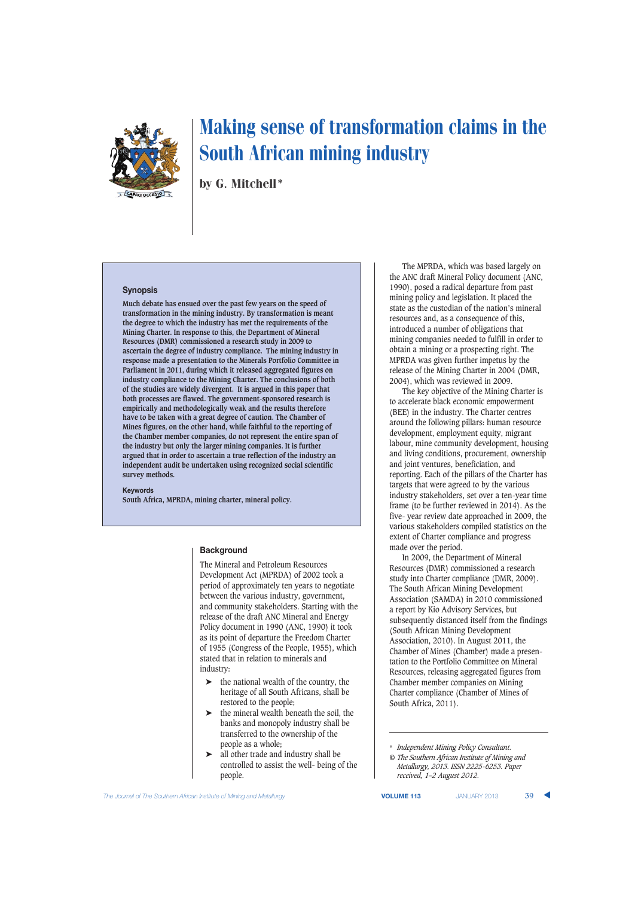

by G. Mitchell\*

#### **Synopsis**

**Much debate has ensued over the past few years on the speed of transformation in the mining industry. By transformation is meant the degree to which the industry has met the requirements of the Mining Charter. In response to this, the Department of Mineral Resources (DMR) commissioned a research study in 2009 to ascertain the degree of industry compliance. The mining industry in response made a presentation to the Minerals Portfolio Committee in Parliament in 2011, during which it released aggregated figures on industry compliance to the Mining Charter. The conclusions of both of the studies are widely divergent. It is argued in this paper that both processes are flawed. The government-sponsored research is empirically and methodologically weak and the results therefore have to be taken with a great degree of caution. The Chamber of Mines figures, on the other hand, while faithful to the reporting of the Chamber member companies, do not represent the entire span of the industry but only the larger mining companies. It is further argued that in order to ascertain a true reflection of the industry an independent audit be undertaken using recognized social scientific survey methods.**

#### **Keywords**

**South Africa, MPRDA, mining charter, mineral policy.**

## **Background**

The Mineral and Petroleum Resources Development Act (MPRDA) of 2002 took a period of approximately ten years to negotiate between the various industry, government, and community stakeholders. Starting with the release of the draft ANC Mineral and Energy Policy document in 1990 (ANC, 1990) it took as its point of departure the Freedom Charter of 1955 (Congress of the People, 1955), which stated that in relation to minerals and industry:

- ➤ the national wealth of the country, the heritage of all South Africans, shall be restored to the people;
- $\blacktriangleright$  the mineral wealth beneath the soil, the banks and monopoly industry shall be transferred to the ownership of the people as a whole;
- ➤ all other trade and industry shall be controlled to assist the well- being of the people.

The MPRDA, which was based largely on the ANC draft Mineral Policy document (ANC, 1990), posed a radical departure from past mining policy and legislation. It placed the state as the custodian of the nation's mineral resources and, as a consequence of this, introduced a number of obligations that mining companies needed to fulfill in order to obtain a mining or a prospecting right. The MPRDA was given further impetus by the release of the Mining Charter in 2004 (DMR, 2004), which was reviewed in 2009.

The key objective of the Mining Charter is to accelerate black economic empowerment (BEE) in the industry. The Charter centres around the following pillars: human resource development, employment equity, migrant labour, mine community development, housing and living conditions, procurement, ownership and joint ventures, beneficiation, and reporting. Each of the pillars of the Charter has targets that were agreed to by the various industry stakeholders, set over a ten-year time frame (to be further reviewed in 2014). As the five- year review date approached in 2009, the various stakeholders compiled statistics on the extent of Charter compliance and progress made over the period.

In 2009, the Department of Mineral Resources (DMR) commissioned a research study into Charter compliance (DMR, 2009). The South African Mining Development Association (SAMDA) in 2010 commissioned a report by Kio Advisory Services, but subsequently distanced itself from the findings (South African Mining Development Association, 2010). In August 2011, the Chamber of Mines (Chamber) made a presentation to the Portfolio Committee on Mineral Resources, releasing aggregated figures from Chamber member companies on Mining Charter compliance (Chamber of Mines of South Africa, 2011).

**The Journal of The Southern African Institute of Mining and Metallurgy <b>VICUME 113** JANUARY 2013 **39** 

<sup>\*</sup> *Independent Mining Policy Consultant.*

*<sup>©</sup> The Southern African Institute of Mining and Metallurgy, 2013. ISSN 2225-6253. Paper received, 1–2 August 2012.*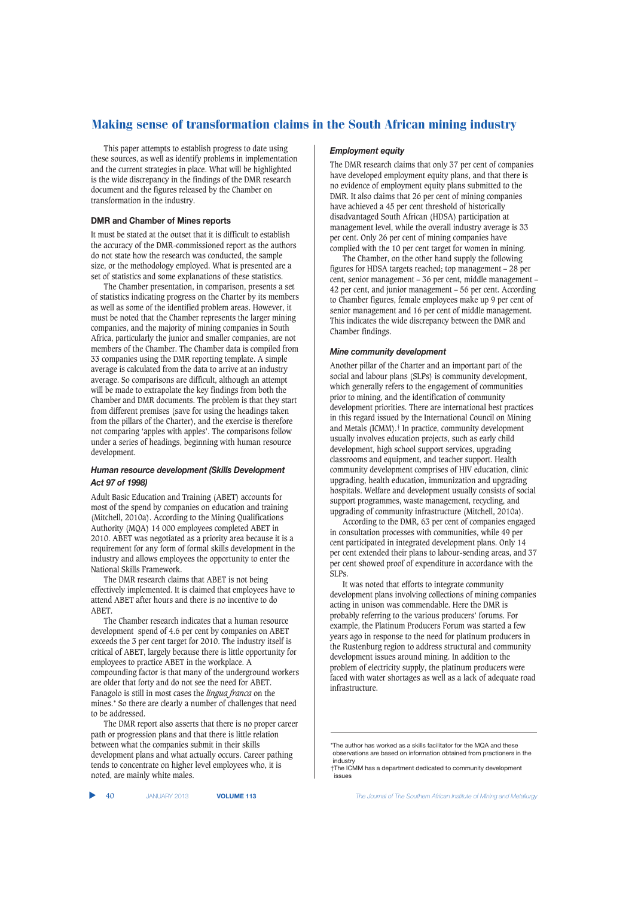This paper attempts to establish progress to date using these sources, as well as identify problems in implementation and the current strategies in place. What will be highlighted is the wide discrepancy in the findings of the DMR research document and the figures released by the Chamber on transformation in the industry.

#### **DMR and Chamber of Mines reports**

It must be stated at the outset that it is difficult to establish the accuracy of the DMR-commissioned report as the authors do not state how the research was conducted, the sample size, or the methodology employed. What is presented are a set of statistics and some explanations of these statistics.

The Chamber presentation, in comparison, presents a set of statistics indicating progress on the Charter by its members as well as some of the identified problem areas. However, it must be noted that the Chamber represents the larger mining companies, and the majority of mining companies in South Africa, particularly the junior and smaller companies, are not members of the Chamber. The Chamber data is compiled from 33 companies using the DMR reporting template. A simple average is calculated from the data to arrive at an industry average. So comparisons are difficult, although an attempt will be made to extrapolate the key findings from both the Chamber and DMR documents. The problem is that they start from different premises (save for using the headings taken from the pillars of the Charter), and the exercise is therefore not comparing 'apples with apples'. The comparisons follow under a series of headings, beginning with human resource development.

## *Human resource development (Skills Development Act 97 of 1998)*

Adult Basic Education and Training (ABET) accounts for most of the spend by companies on education and training (Mitchell, 2010a). According to the Mining Qualifications Authority (MQA) 14 000 employees completed ABET in 2010. ABET was negotiated as a priority area because it is a requirement for any form of formal skills development in the industry and allows employees the opportunity to enter the National Skills Framework.

The DMR research claims that ABET is not being effectively implemented. It is claimed that employees have to attend ABET after hours and there is no incentive to do ABET.

The Chamber research indicates that a human resource development spend of 4.6 per cent by companies on ABET exceeds the 3 per cent target for 2010. The industry itself is critical of ABET, largely because there is little opportunity for employees to practice ABET in the workplace. A compounding factor is that many of the underground workers are older that forty and do not see the need for ABET. Fanagolo is still in most cases the *lingua franca* on the mines.\* So there are clearly a number of challenges that need to be addressed.

The DMR report also asserts that there is no proper career path or progression plans and that there is little relation between what the companies submit in their skills development plans and what actually occurs. Career pathing tends to concentrate on higher level employees who, it is noted, are mainly white males.

#### *Employment equity*

The DMR research claims that only 37 per cent of companies have developed employment equity plans, and that there is no evidence of employment equity plans submitted to the DMR. It also claims that 26 per cent of mining companies have achieved a 45 per cent threshold of historically disadvantaged South African (HDSA) participation at management level, while the overall industry average is 33 per cent. Only 26 per cent of mining companies have complied with the 10 per cent target for women in mining.

The Chamber, on the other hand supply the following figures for HDSA targets reached; top management – 28 per cent, senior management – 36 per cent, middle management – 42 per cent, and junior management – 56 per cent. According to Chamber figures, female employees make up 9 per cent of senior management and 16 per cent of middle management. This indicates the wide discrepancy between the DMR and Chamber findings.

### *Mine community development*

Another pillar of the Charter and an important part of the social and labour plans (SLPs) is community development, which generally refers to the engagement of communities prior to mining, and the identification of community development priorities. There are international best practices in this regard issued by the International Council on Mining and Metals (ICMM).† In practice, community development usually involves education projects, such as early child development, high school support services, upgrading classrooms and equipment, and teacher support. Health community development comprises of HIV education, clinic upgrading, health education, immunization and upgrading hospitals. Welfare and development usually consists of social support programmes, waste management, recycling, and upgrading of community infrastructure (Mitchell, 2010a).

According to the DMR, 63 per cent of companies engaged in consultation processes with communities, while 49 per cent participated in integrated development plans. Only 14 per cent extended their plans to labour-sending areas, and 37 per cent showed proof of expenditure in accordance with the SLPs.

It was noted that efforts to integrate community development plans involving collections of mining companies acting in unison was commendable. Here the DMR is probably referring to the various producers' forums. For example, the Platinum Producers Forum was started a few years ago in response to the need for platinum producers in the Rustenburg region to address structural and community development issues around mining. In addition to the problem of electricity supply, the platinum producers were faced with water shortages as well as a lack of adequate road infrastructure.

<sup>\*</sup>The author has worked as a skills facilitator for the MQA and these observations are based on information obtained from practioners in the industry

<sup>†</sup>The ICMM has a department dedicated to community development issues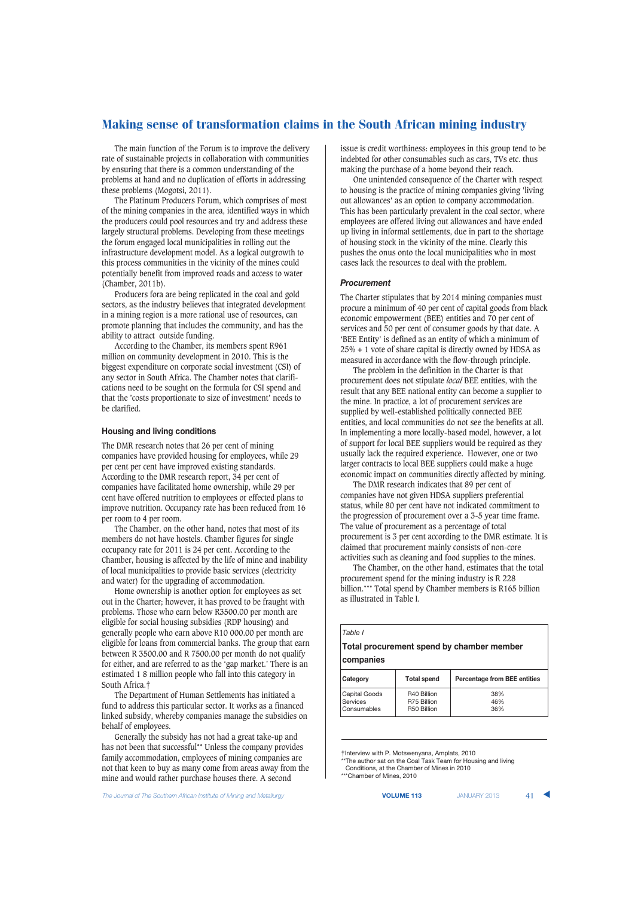The main function of the Forum is to improve the delivery rate of sustainable projects in collaboration with communities by ensuring that there is a common understanding of the problems at hand and no duplication of efforts in addressing these problems (Mogotsi, 2011).

The Platinum Producers Forum, which comprises of most of the mining companies in the area, identified ways in which the producers could pool resources and try and address these largely structural problems. Developing from these meetings the forum engaged local municipalities in rolling out the infrastructure development model. As a logical outgrowth to this process communities in the vicinity of the mines could potentially benefit from improved roads and access to water (Chamber, 2011b).

Producers fora are being replicated in the coal and gold sectors, as the industry believes that integrated development in a mining region is a more rational use of resources, can promote planning that includes the community, and has the ability to attract outside funding.

According to the Chamber, its members spent R961 million on community development in 2010. This is the biggest expenditure on corporate social investment (CSI) of any sector in South Africa. The Chamber notes that clarifications need to be sought on the formula for CSI spend and that the 'costs proportionate to size of investment' needs to be clarified.

#### **Housing and living conditions**

The DMR research notes that 26 per cent of mining companies have provided housing for employees, while 29 per cent per cent have improved existing standards. According to the DMR research report, 34 per cent of companies have facilitated home ownership, while 29 per cent have offered nutrition to employees or effected plans to improve nutrition. Occupancy rate has been reduced from 16 per room to 4 per room.

The Chamber, on the other hand, notes that most of its members do not have hostels. Chamber figures for single occupancy rate for 2011 is 24 per cent. According to the Chamber, housing is affected by the life of mine and inability of local municipalities to provide basic services (electricity and water) for the upgrading of accommodation.

Home ownership is another option for employees as set out in the Charter; however, it has proved to be fraught with problems. Those who earn below R3500.00 per month are eligible for social housing subsidies (RDP housing) and generally people who earn above R10 000.00 per month are eligible for loans from commercial banks. The group that earn between R 3500.00 and R 7500.00 per month do not qualify for either, and are referred to as the 'gap market.' There is an estimated 1 8 million people who fall into this category in South Africa.‡

The Department of Human Settlements has initiated a fund to address this particular sector. It works as a financed linked subsidy, whereby companies manage the subsidies on behalf of employees.

Generally the subsidy has not had a great take-up and has not been that successful\*\* Unless the company provides family accommodation, employees of mining companies are not that keen to buy as many come from areas away from the mine and would rather purchase houses there. A second

issue is credit worthiness: employees in this group tend to be indebted for other consumables such as cars, TVs etc. thus making the purchase of a home beyond their reach.

One unintended consequence of the Charter with respect to housing is the practice of mining companies giving 'living out allowances' as an option to company accommodation. This has been particularly prevalent in the coal sector, where employees are offered living out allowances and have ended up living in informal settlements, due in part to the shortage of housing stock in the vicinity of the mine. Clearly this pushes the onus onto the local municipalities who in most cases lack the resources to deal with the problem.

#### *Procurement*

The Charter stipulates that by 2014 mining companies must procure a minimum of 40 per cent of capital goods from black economic empowerment (BEE) entities and 70 per cent of services and 50 per cent of consumer goods by that date. A 'BEE Entity' is defined as an entity of which a minimum of 25% + 1 vote of share capital is directly owned by HDSA as measured in accordance with the flow-through principle.

The problem in the definition in the Charter is that procurement does not stipulate *local* BEE entities, with the result that any BEE national entity can become a supplier to the mine. In practice, a lot of procurement services are supplied by well-established politically connected BEE entities, and local communities do not see the benefits at all. In implementing a more locally-based model, however, a lot of support for local BEE suppliers would be required as they usually lack the required experience. However, one or two larger contracts to local BEE suppliers could make a huge economic impact on communities directly affected by mining.

The DMR research indicates that 89 per cent of companies have not given HDSA suppliers preferential status, while 80 per cent have not indicated commitment to the progression of procurement over a 3-5 year time frame. The value of procurement as a percentage of total procurement is 3 per cent according to the DMR estimate. It is claimed that procurement mainly consists of non-core activities such as cleaning and food supplies to the mines.

The Chamber, on the other hand, estimates that the total procurement spend for the mining industry is R 228 billion.\*\*\* Total spend by Chamber members is R165 billion as illustrated in Table I.

| Table I<br>Total procurement spend by chamber member |           |                    |                                     |  |
|------------------------------------------------------|-----------|--------------------|-------------------------------------|--|
|                                                      | companies |                    |                                     |  |
|                                                      | Category  | <b>Total spend</b> | <b>Percentage from BEE entities</b> |  |

| Category      | <b>Total spend</b> | <b>Percentage from BEE entities</b> |
|---------------|--------------------|-------------------------------------|
| Capital Goods | R40 Billion        | 38%                                 |
| Services      | R75 Billion        | 46%                                 |
| Consumables   | R50 Billion        | 36%                                 |

‡Interview with P. Motswenyana, Amplats, 2010 \*The author sat on the Coal Task Team for Housing and living

Conditions, at the Chamber of Mines in 2010

\*\*\*Chamber of Mines, 2010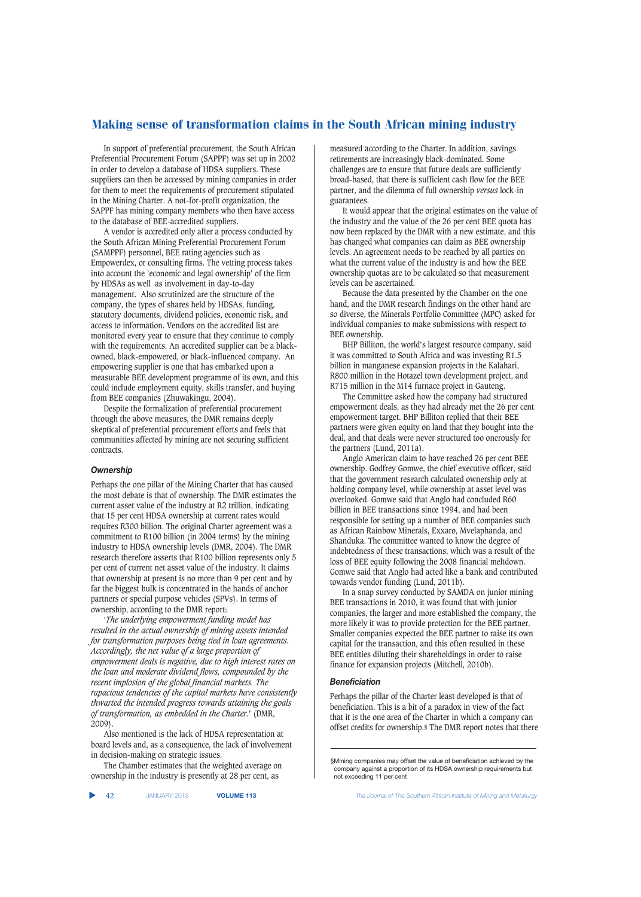In support of preferential procurement, the South African Preferential Procurement Forum (SAPPF) was set up in 2002 in order to develop a database of HDSA suppliers. These suppliers can then be accessed by mining companies in order for them to meet the requirements of procurement stipulated in the Mining Charter. A not-for-profit organization, the SAPPF has mining company members who then have access to the database of BEE-accredited suppliers.

A vendor is accredited only after a process conducted by the South African Mining Preferential Procurement Forum (SAMPPF) personnel, BEE rating agencies such as Empowerdex, or consulting firms. The vetting process takes into account the 'economic and legal ownership' of the firm by HDSAs as well as involvement in day-to-day management. Also scrutinized are the structure of the company, the types of shares held by HDSAs, funding, statutory documents, dividend policies, economic risk, and access to information. Vendors on the accredited list are monitored every year to ensure that they continue to comply with the requirements. An accredited supplier can be a blackowned, black-empowered, or black-influenced company. An empowering supplier is one that has embarked upon a measurable BEE development programme of its own, and this could include employment equity, skills transfer, and buying from BEE companies (Zhuwakingu, 2004).

Despite the formalization of preferential procurement through the above measures, the DMR remains deeply skeptical of preferential procurement efforts and feels that communities affected by mining are not securing sufficient contracts.

## *Ownership*

Perhaps the one pillar of the Mining Charter that has caused the most debate is that of ownership. The DMR estimates the current asset value of the industry at R2 trillion, indicating that 15 per cent HDSA ownership at current rates would requires R300 billion. The original Charter agreement was a commitment to R100 billion (in 2004 terms) by the mining industry to HDSA ownership levels (DMR, 2004). The DMR research therefore asserts that R100 billion represents only 5 per cent of current net asset value of the industry. It claims that ownership at present is no more than 9 per cent and by far the biggest bulk is concentrated in the hands of anchor partners or special purpose vehicles (SPVs). In terms of ownership, according to the DMR report:

'*The underlying empowerment funding model has resulted in the actual ownership of mining assets intended for transformation purposes being tied in loan agreements. Accordingly, the net value of a large proportion of empowerment deals is negative, due to high interest rates on the loan and moderate dividend flows, compounded by the recent implosion of the global financial markets. The rapacious tendencies of the capital markets have consistently thwarted the intended progress towards attaining the goals of transformation, as embedded in the Charter*.' (DMR, 2009).

Also mentioned is the lack of HDSA representation at board levels and, as a consequence, the lack of involvement in decision-making on strategic issues.

The Chamber estimates that the weighted average on ownership in the industry is presently at 28 per cent, as

measured according to the Charter. In addition, savings retirements are increasingly black-dominated. Some challenges are to ensure that future deals are sufficiently broad-based, that there is sufficient cash flow for the BEE partner, and the dilemma of full ownership *versus* lock-in guarantees.

It would appear that the original estimates on the value of the industry and the value of the 26 per cent BEE quota has now been replaced by the DMR with a new estimate, and this has changed what companies can claim as BEE ownership levels. An agreement needs to be reached by all parties on what the current value of the industry is and how the BEE ownership quotas are to be calculated so that measurement levels can be ascertained.

Because the data presented by the Chamber on the one hand, and the DMR research findings on the other hand are so diverse, the Minerals Portfolio Committee (MPC) asked for individual companies to make submissions with respect to BEE ownership.

BHP Billiton, the world's largest resource company, said it was committed to South Africa and was investing R1.5 billion in manganese expansion projects in the Kalahari, R800 million in the Hotazel town development project, and R715 million in the M14 furnace project in Gauteng.

The Committee asked how the company had structured empowerment deals, as they had already met the 26 per cent empowerment target. BHP Billiton replied that their BEE partners were given equity on land that they bought into the deal, and that deals were never structured too onerously for the partners (Lund, 2011a).

Anglo American claim to have reached 26 per cent BEE ownership. Godfrey Gomwe, the chief executive officer, said that the government research calculated ownership only at holding company level, while ownership at asset level was overlooked. Gomwe said that Anglo had concluded R60 billion in BEE transactions since 1994, and had been responsible for setting up a number of BEE companies such as African Rainbow Minerals, Exxaro, Mvelaphanda, and Shanduka. The committee wanted to know the degree of indebtedness of these transactions, which was a result of the loss of BEE equity following the 2008 financial meltdown. Gomwe said that Anglo had acted like a bank and contributed towards vendor funding (Lund, 2011b).

In a snap survey conducted by SAMDA on junior mining BEE transactions in 2010, it was found that with junior companies, the larger and more established the company, the more likely it was to provide protection for the BEE partner. Smaller companies expected the BEE partner to raise its own capital for the transaction, and this often resulted in these BEE entities diluting their shareholdings in order to raise finance for expansion projects (Mitchell, 2010b).

## *Beneficiation*

Perhaps the pillar of the Charter least developed is that of beneficiation. This is a bit of a paradox in view of the fact that it is the one area of the Charter in which a company can offset credits for ownership.§ The DMR report notes that there

<sup>§</sup>Mining companies may offset the value of beneficiation achieved by the company against a proportion of its HDSA ownership requirements but not exceeding 11 per cent